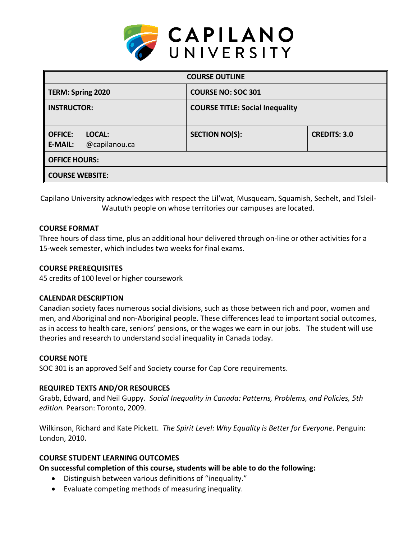

| <b>COURSE OUTLINE</b>                                       |                                        |                     |  |  |  |
|-------------------------------------------------------------|----------------------------------------|---------------------|--|--|--|
| <b>TERM: Spring 2020</b>                                    | <b>COURSE NO: SOC 301</b>              |                     |  |  |  |
| <b>INSTRUCTOR:</b>                                          | <b>COURSE TITLE: Social Inequality</b> |                     |  |  |  |
| <b>OFFICE:</b><br>LOCAL:<br>@capilanou.ca<br><b>E-MAIL:</b> | <b>SECTION NO(S):</b>                  | <b>CREDITS: 3.0</b> |  |  |  |
| <b>OFFICE HOURS:</b>                                        |                                        |                     |  |  |  |
| <b>COURSE WEBSITE:</b>                                      |                                        |                     |  |  |  |

Capilano University acknowledges with respect the Lil'wat, Musqueam, Squamish, Sechelt, and Tsleil-Waututh people on whose territories our campuses are located.

## **COURSE FORMAT**

Three hours of class time, plus an additional hour delivered through on-line or other activities for a 15-week semester, which includes two weeks for final exams.

## **COURSE PREREQUISITES**

45 credits of 100 level or higher coursework

## **CALENDAR DESCRIPTION**

Canadian society faces numerous social divisions, such as those between rich and poor, women and men, and Aboriginal and non-Aboriginal people. These differences lead to important social outcomes, as in access to health care, seniors' pensions, or the wages we earn in our jobs. The student will use theories and research to understand social inequality in Canada today.

## **COURSE NOTE**

SOC 301 is an approved Self and Society course for Cap Core requirements.

# **REQUIRED TEXTS AND/OR RESOURCES**

Grabb, Edward, and Neil Guppy. *Social Inequality in Canada: Patterns, Problems, and Policies, 5th edition.* Pearson: Toronto, 2009.

Wilkinson, Richard and Kate Pickett. *The Spirit Level: Why Equality is Better for Everyone*. Penguin: London, 2010.

## **COURSE STUDENT LEARNING OUTCOMES**

**On successful completion of this course, students will be able to do the following:** 

- Distinguish between various definitions of "inequality."
- Evaluate competing methods of measuring inequality.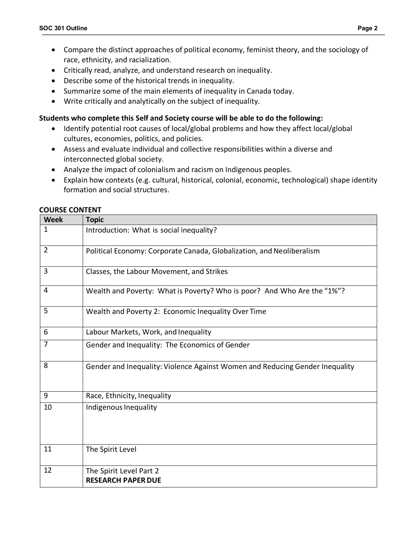- Compare the distinct approaches of political economy, feminist theory, and the sociology of race, ethnicity, and racialization.
- Critically read, analyze, and understand research on inequality.
- Describe some of the historical trends in inequality.
- Summarize some of the main elements of inequality in Canada today.
- Write critically and analytically on the subject of inequality.

### **Students who complete this Self and Society course will be able to do the following:**

- Identify potential root causes of local/global problems and how they affect local/global cultures, economies, politics, and policies.
- Assess and evaluate individual and collective responsibilities within a diverse and interconnected global society.
- Analyze the impact of colonialism and racism on Indigenous peoples.
- Explain how contexts (e.g. cultural, historical, colonial, economic, technological) shape identity formation and social structures.

#### **COURSE CONTENT**

| <b>Week</b>    | <b>Topic</b>                                                                 |  |  |  |  |
|----------------|------------------------------------------------------------------------------|--|--|--|--|
| $\mathbf{1}$   | Introduction: What is social inequality?                                     |  |  |  |  |
| $\overline{2}$ | Political Economy: Corporate Canada, Globalization, and Neoliberalism        |  |  |  |  |
| 3              | Classes, the Labour Movement, and Strikes                                    |  |  |  |  |
| $\overline{4}$ | Wealth and Poverty: What is Poverty? Who is poor? And Who Are the "1%"?      |  |  |  |  |
| 5              | Wealth and Poverty 2: Economic Inequality Over Time                          |  |  |  |  |
| 6              | Labour Markets, Work, and Inequality                                         |  |  |  |  |
| $\overline{7}$ | Gender and Inequality: The Economics of Gender                               |  |  |  |  |
| 8              | Gender and Inequality: Violence Against Women and Reducing Gender Inequality |  |  |  |  |
| 9              | Race, Ethnicity, Inequality                                                  |  |  |  |  |
| 10             | Indigenous Inequality                                                        |  |  |  |  |
| 11             | The Spirit Level                                                             |  |  |  |  |
| 12             | The Spirit Level Part 2<br><b>RESEARCH PAPER DUE</b>                         |  |  |  |  |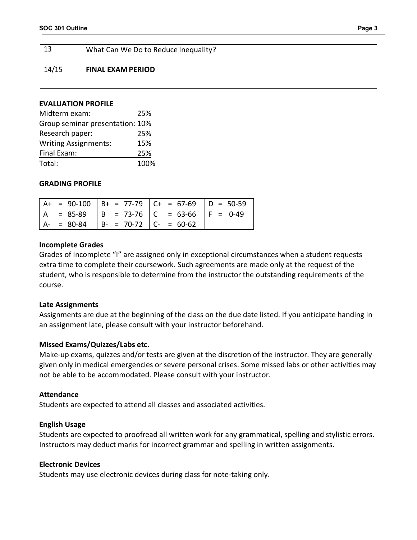| 13    | What Can We Do to Reduce Inequality? |  |
|-------|--------------------------------------|--|
| 14/15 | <b>FINAL EXAM PERIOD</b>             |  |

#### **EVALUATION PROFILE**

| Midterm exam:                   | 25%  |
|---------------------------------|------|
| Group seminar presentation: 10% |      |
| Research paper:                 | 25%  |
| <b>Writing Assignments:</b>     | 15%  |
| Final Exam:                     | 25%  |
| Total:                          | 100% |

### **GRADING PROFILE**

|               |                               | $A+$ = 90-100 $B+$ = 77-79 $C+$ = 67-69 $D = 50-59$ |  |
|---------------|-------------------------------|-----------------------------------------------------|--|
| $= 85-89$     |                               | $  B = 73-76   C = 63-66   F = 0-49$                |  |
| $A - = 80-84$ | $  B - = 70-72   C - = 60-62$ |                                                     |  |

#### **Incomplete Grades**

Grades of Incomplete "I" are assigned only in exceptional circumstances when a student requests extra time to complete their coursework. Such agreements are made only at the request of the student, who is responsible to determine from the instructor the outstanding requirements of the course.

#### **Late Assignments**

Assignments are due at the beginning of the class on the due date listed. If you anticipate handing in an assignment late, please consult with your instructor beforehand.

## **Missed Exams/Quizzes/Labs etc.**

Make-up exams, quizzes and/or tests are given at the discretion of the instructor. They are generally given only in medical emergencies or severe personal crises. Some missed labs or other activities may not be able to be accommodated. Please consult with your instructor.

#### **Attendance**

Students are expected to attend all classes and associated activities.

#### **English Usage**

Students are expected to proofread all written work for any grammatical, spelling and stylistic errors. Instructors may deduct marks for incorrect grammar and spelling in written assignments.

#### **Electronic Devices**

Students may use electronic devices during class for note-taking only.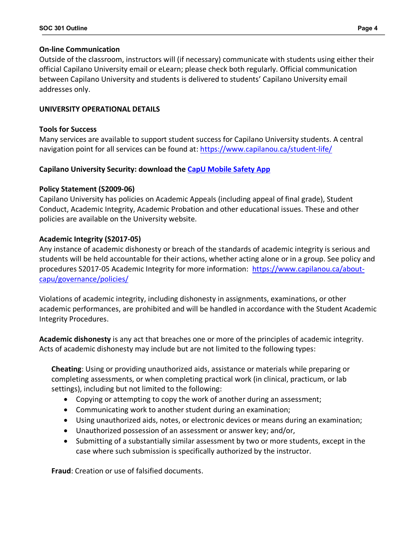### **On-line Communication**

Outside of the classroom, instructors will (if necessary) communicate with students using either their official Capilano University email or eLearn; please check both regularly. Official communication between Capilano University and students is delivered to students' Capilano University email addresses only.

## **UNIVERSITY OPERATIONAL DETAILS**

### **Tools for Success**

Many services are available to support student success for Capilano University students. A central navigation point for all services can be found at: https://www.capilanou.ca/student-life/

## **Capilano University Security: download the CapU Mobile Safety App**

### **Policy Statement (S2009-06)**

Capilano University has policies on Academic Appeals (including appeal of final grade), Student Conduct, Academic Integrity, Academic Probation and other educational issues. These and other policies are available on the University website.

### **Academic Integrity (S2017-05)**

Any instance of academic dishonesty or breach of the standards of academic integrity is serious and students will be held accountable for their actions, whether acting alone or in a group. See policy and procedures S2017-05 Academic Integrity for more information: https://www.capilanou.ca/aboutcapu/governance/policies/

Violations of academic integrity, including dishonesty in assignments, examinations, or other academic performances, are prohibited and will be handled in accordance with the Student Academic Integrity Procedures.

**Academic dishonesty** is any act that breaches one or more of the principles of academic integrity. Acts of academic dishonesty may include but are not limited to the following types:

**Cheating**: Using or providing unauthorized aids, assistance or materials while preparing or completing assessments, or when completing practical work (in clinical, practicum, or lab settings), including but not limited to the following:

- Copying or attempting to copy the work of another during an assessment;
- Communicating work to another student during an examination;
- Using unauthorized aids, notes, or electronic devices or means during an examination;
- Unauthorized possession of an assessment or answer key; and/or,
- Submitting of a substantially similar assessment by two or more students, except in the case where such submission is specifically authorized by the instructor.

**Fraud**: Creation or use of falsified documents.